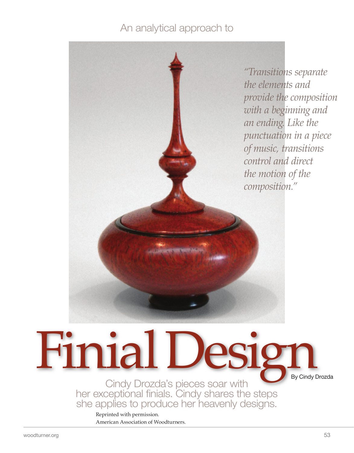## An analytical approach to



# Finial Design Cindy Drozda's pieces soar with

her exceptional finials. Cindy shares the steps she applies to produce her heavenly designs.

Reprinted with permission. American Association of Woodturners.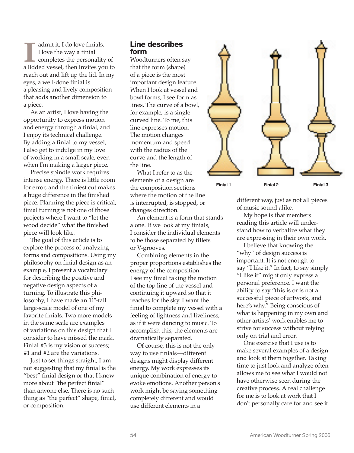**I** a lidded vessel, then invites you to admit it, I do love finials. I love the way a finial completes the personality of reach out and lift up the lid. In my eyes, a well-done finial is a pleasing and lively composition that adds another dimension to a piece.

 As an artist, I love having the opportunity to express motion and energy through a finial, and I enjoy its technical challenge. By adding a finial to my vessel, I also get to indulge in my love of working in a small scale, even when I'm making a larger piece.

 Precise spindle work requires intense energy. There is little room for error, and the tiniest cut makes a huge difference in the finished piece. Planning the piece is critical; finial turning is not one of those projects where I want to "let the wood decide" what the finished piece will look like.

 The goal of this article is to explore the process of analyzing forms and compositions. Using my philosophy on finial design as an example, I present a vocabulary for describing the positive and negative design aspects of a turning. To illustrate this philosophy, I have made an 11"-tall large-scale model of one of my favorite finials. Two more models in the same scale are examples of variations on this design that I consider to have missed the mark. Finial #3 is my vision of success; #1 and #2 are the variations.

 Just to set things straight, I am not suggesting that my finial is the "best" finial design or that I know more about "the perfect finial" than anyone else. There is no such thing as "the perfect" shape, finial, or composition.

#### Line describes form

Woodturners often say that the form (shape) of a piece is the most important design feature. When I look at vessel and bowl forms, I see form as lines. The curve of a bowl, for example, is a single curved line. To me, this line expresses motion. The motion changes momentum and speed with the radius of the curve and the length of the line.

 What I refer to as the elements of a design are the composition sections where the motion of the line is interrupted, is stopped, or changes direction.

 An element is a form that stands alone. If we look at my finials, I consider the individual elements to be those separated by fillets or V-grooves.

 Combining elements in the proper proportions establishes the energy of the composition. I see my finial taking the motion of the top line of the vessel and continuing it upward so that it reaches for the sky. I want the finial to complete my vessel with a feeling of lightness and liveliness, as if it were dancing to music. To accomplish this, the elements are dramatically separated.

 Of course, this is not the only way to use finials—different designs might display different energy. My work expresses its unique combination of energy to evoke emotions. Another person's work might be saying something completely different and would use different elements in a



different way, just as not all pieces of music sound alike.

 My hope is that members reading this article will understand how to verbalize what they are expressing in their own work.

 I believe that knowing the "why" of design success is important. It is not enough to say "I like it." In fact, to say simply "I like it" might only express a personal preference. I want the ability to say "this is or is not a successful piece of artwork, and here's why." Being conscious of what is happening in my own and other artists' work enables me to strive for success without relying only on trial and error.

 One exercise that I use is to make several examples of a design and look at them together. Taking time to just look and analyze often allows me to see what I would not have otherwise seen during the creative process. A real challenge for me is to look at work that I don't personally care for and see it